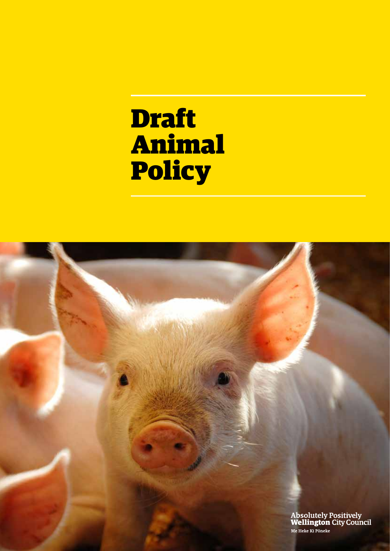# Draft Animal Policy

Absolutely Positively<br>Wellington City Council Me Heke Ki Pōneke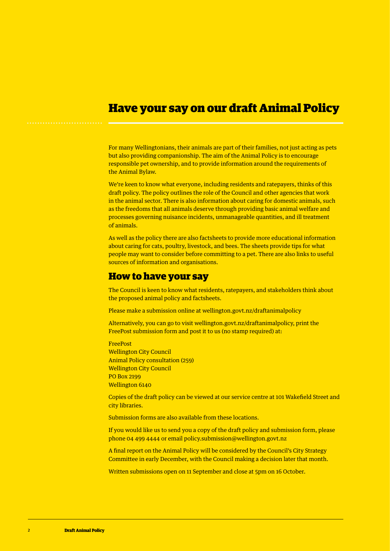# Have your say on our draft Animal Policy

For many Wellingtonians, their animals are part of their families, not just acting as pets but also providing companionship. The aim of the Animal Policy is to encourage responsible pet ownership, and to provide information around the requirements of the Animal Bylaw.

We're keen to know what everyone, including residents and ratepayers, thinks of this draft policy. The policy outlines the role of the Council and other agencies that work in the animal sector. There is also information about caring for domestic animals, such as the freedoms that all animals deserve through providing basic animal welfare and processes governing nuisance incidents, unmanageable quantities, and ill treatment of animals.

As well as the policy there are also factsheets to provide more educational information about caring for cats, poultry, livestock, and bees. The sheets provide tips for what people may want to consider before committing to a pet. There are also links to useful sources of information and organisations.

## How to have your say

The Council is keen to know what residents, ratepayers, and stakeholders think about the proposed animal policy and factsheets.

Please make a submission online at wellington.govt.nz/draftanimalpolicy

Alternatively, you can go to visit wellington.govt.nz/draftanimalpolicy, print the FreePost submission form and post it to us (no stamp required) at:

FreePost Wellington City Council Animal Policy consultation (259) Wellington City Council PO Box 2199 Wellington 6140

Copies of the draft policy can be viewed at our service centre at 101 Wakefield Street and city libraries.

Submission forms are also available from these locations.

If you would like us to send you a copy of the draft policy and submission form, please phone 04 499 4444 or email policy.submission@wellington.govt.nz

A final report on the Animal Policy will be considered by the Council's City Strategy Committee in early December, with the Council making a decision later that month.

Written submissions open on 11 September and close at 5pm on 16 October.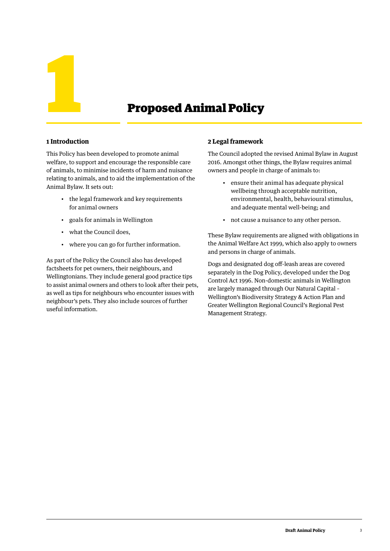

#### **1 Introduction**

This Policy has been developed to promote animal welfare, to support and encourage the responsible care of animals, to minimise incidents of harm and nuisance relating to animals, and to aid the implementation of the Animal Bylaw. It sets out:

- the legal framework and key requirements for animal owners
- goals for animals in Wellington
- what the Council does,
- where you can go for further information.

As part of the Policy the Council also has developed factsheets for pet owners, their neighbours, and Wellingtonians. They include general good practice tips to assist animal owners and others to look after their pets, as well as tips for neighbours who encounter issues with neighbour's pets. They also include sources of further useful information.

#### **2 Legal framework**

The Council adopted the revised Animal Bylaw in August 2016. Amongst other things, the Bylaw requires animal owners and people in charge of animals to:

- ensure their animal has adequate physical wellbeing through acceptable nutrition, environmental, health, behavioural stimulus, and adequate mental well-being; and
- not cause a nuisance to any other person.

These Bylaw requirements are aligned with obligations in the Animal Welfare Act 1999, which also apply to owners and persons in charge of animals.

Dogs and designated dog off-leash areas are covered separately in the Dog Policy, developed under the Dog Control Act 1996. Non-domestic animals in Wellington are largely managed through Our Natural Capital – Wellington's Biodiversity Strategy & Action Plan and Greater Wellington Regional Council's Regional Pest Management Strategy.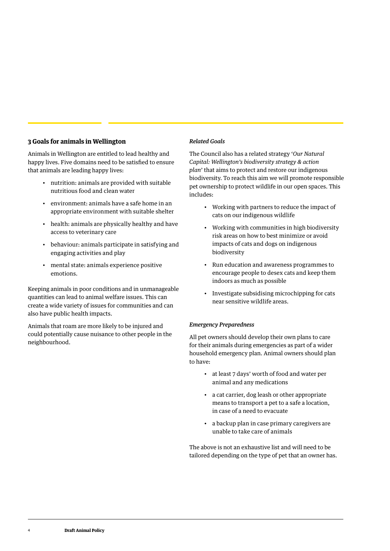#### **3 Goals for animals in Wellington**

Animals in Wellington are entitled to lead healthy and happy lives. Five domains need to be satisfied to ensure that animals are leading happy lives:

- nutrition: animals are provided with suitable nutritious food and clean water
- environment: animals have a safe home in an appropriate environment with suitable shelter
- health: animals are physically healthy and have access to veterinary care
- behaviour: animals participate in satisfying and engaging activities and play
- mental state: animals experience positive emotions.

Keeping animals in poor conditions and in unmanageable quantities can lead to animal welfare issues. This can create a wide variety of issues for communities and can also have public health impacts.

Animals that roam are more likely to be injured and could potentially cause nuisance to other people in the neighbourhood.

#### *Related Goals*

The Council also has a related strategy '*Our Natural Capital: Wellington's biodiversity strategy & action plan*' that aims to protect and restore our indigenous biodiversity. To reach this aim we will promote responsible pet ownership to protect wildlife in our open spaces. This includes:

- Working with partners to reduce the impact of cats on our indigenous wildlife
- Working with communities in high biodiversity risk areas on how to best minimize or avoid impacts of cats and dogs on indigenous biodiversity
- Run education and awareness programmes to encourage people to desex cats and keep them indoors as much as possible
- Investigate subsidising microchipping for cats near sensitive wildlife areas.

#### *Emergency Preparedness*

All pet owners should develop their own plans to care for their animals during emergencies as part of a wider household emergency plan. Animal owners should plan to have:

- at least 7 days' worth of food and water per animal and any medications
- a cat carrier, dog leash or other appropriate means to transport a pet to a safe a location, in case of a need to evacuate
- a backup plan in case primary caregivers are unable to take care of animals

The above is not an exhaustive list and will need to be tailored depending on the type of pet that an owner has.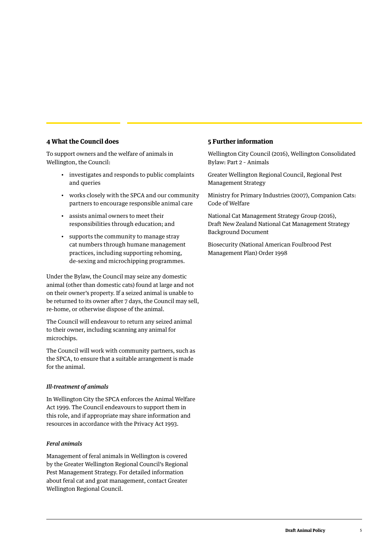#### **4 What the Council does**

To support owners and the welfare of animals in Wellington, the Council:

- investigates and responds to public complaints and queries
- works closely with the SPCA and our community partners to encourage responsible animal care
- assists animal owners to meet their responsibilities through education; and
- supports the community to manage stray cat numbers through humane management practices, including supporting rehoming, de-sexing and microchipping programmes.

Under the Bylaw, the Council may seize any domestic animal (other than domestic cats) found at large and not on their owner's property. If a seized animal is unable to be returned to its owner after 7 days, the Council may sell, re-home, or otherwise dispose of the animal.

The Council will endeavour to return any seized animal to their owner, including scanning any animal for microchips.

The Council will work with community partners, such as the SPCA, to ensure that a suitable arrangement is made for the animal.

#### *Ill-treatment of animals*

In Wellington City the SPCA enforces the Animal Welfare Act 1999. The Council endeavours to support them in this role, and if appropriate may share information and resources in accordance with the Privacy Act 1993.

#### *Feral animals*

Management of feral animals in Wellington is covered by the Greater Wellington Regional Council's Regional Pest Management Strategy. For detailed information about feral cat and goat management, contact Greater Wellington Regional Council.

#### **5 Further information**

Wellington City Council (2016), Wellington Consolidated Bylaw: Part 2 – Animals

Greater Wellington Regional Council, Regional Pest Management Strategy

Ministry for Primary Industries (2007), Companion Cats: Code of Welfare

National Cat Management Strategy Group (2016), Draft New Zealand National Cat Management Strategy Background Document

Biosecurity (National American Foulbrood Pest Management Plan) Order 1998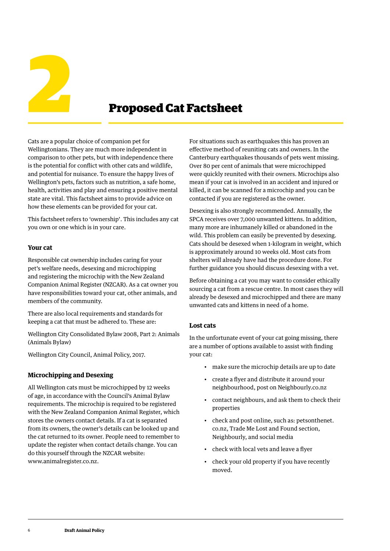

Cats are a popular choice of companion pet for Wellingtonians. They are much more independent in comparison to other pets, but with independence there is the potential for conflict with other cats and wildlife, and potential for nuisance. To ensure the happy lives of Wellington's pets, factors such as nutrition, a safe home, health, activities and play and ensuring a positive mental state are vital. This factsheet aims to provide advice on how these elements can be provided for your cat.

This factsheet refers to 'ownership'. This includes any cat you own or one which is in your care.

#### **Your cat**

Responsible cat ownership includes caring for your pet's welfare needs, desexing and microchipping and registering the microchip with the New Zealand Companion Animal Register (NZCAR). As a cat owner you have responsibilities toward your cat, other animals, and members of the community.

There are also local requirements and standards for keeping a cat that must be adhered to. These are:

Wellington City Consolidated Bylaw 2008, Part 2: Animals (Animals Bylaw)

Wellington City Council, Animal Policy, 2017.

#### **Microchipping and Desexing**

All Wellington cats must be microchipped by 12 weeks of age, in accordance with the Council's Animal Bylaw requirements. The microchip is required to be registered with the New Zealand Companion Animal Register, which stores the owners contact details. If a cat is separated from its owners, the owner's details can be looked up and the cat returned to its owner. People need to remember to update the register when contact details change. You can do this yourself through the NZCAR website: www.animalregister.co.nz.

For situations such as earthquakes this has proven an effective method of reuniting cats and owners. In the Canterbury earthquakes thousands of pets went missing. Over 80 per cent of animals that were microchipped were quickly reunited with their owners. Microchips also mean if your cat is involved in an accident and injured or killed, it can be scanned for a microchip and you can be contacted if you are registered as the owner.

Desexing is also strongly recommended. Annually, the SPCA receives over 7,000 unwanted kittens. In addition, many more are inhumanely killed or abandoned in the wild. This problem can easily be prevented by desexing. Cats should be desexed when 1-kilogram in weight, which is approximately around 10 weeks old. Most cats from shelters will already have had the procedure done. For further guidance you should discuss desexing with a vet.

Before obtaining a cat you may want to consider ethically sourcing a cat from a rescue centre. In most cases they will already be desexed and microchipped and there are many unwanted cats and kittens in need of a home.

#### **Lost cats**

In the unfortunate event of your cat going missing, there are a number of options available to assist with finding your cat:

- make sure the microchip details are up to date
- create a flyer and distribute it around your neighbourhood, post on Neighbourly.co.nz
- contact neighbours, and ask them to check their properties
- check and post online, such as: petsonthenet. co.nz, Trade Me Lost and Found section, Neighbourly, and social media
- check with local vets and leave a flyer
- check your old property if you have recently moved.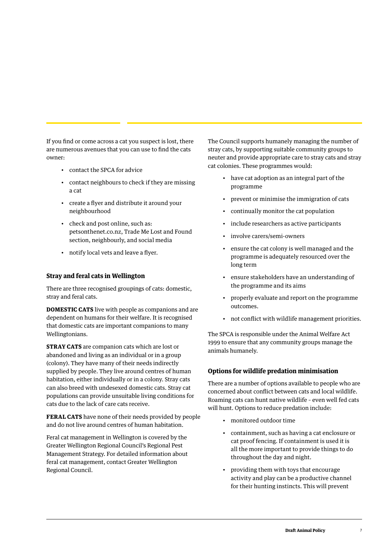If you find or come across a cat you suspect is lost, there are numerous avenues that you can use to find the cats owner:

- contact the SPCA for advice
- contact neighbours to check if they are missing a cat
- create a flyer and distribute it around your neighbourhood
- check and post online, such as: petsonthenet.co.nz, Trade Me Lost and Found section, neighbourly, and social media
- notify local vets and leave a flyer.

#### **Stray and feral cats in Wellington**

There are three recognised groupings of cats: domestic, stray and feral cats.

**DOMESTIC CATS** live with people as companions and are dependent on humans for their welfare. It is recognised that domestic cats are important companions to many Wellingtonians.

**STRAY CATS** are companion cats which are lost or abandoned and living as an individual or in a group (colony). They have many of their needs indirectly supplied by people. They live around centres of human habitation, either individually or in a colony. Stray cats can also breed with undesexed domestic cats. Stray cat populations can provide unsuitable living conditions for cats due to the lack of care cats receive.

**FERAL CATS** have none of their needs provided by people and do not live around centres of human habitation.

Feral cat management in Wellington is covered by the Greater Wellington Regional Council's Regional Pest Management Strategy. For detailed information about feral cat management, contact Greater Wellington Regional Council.

The Council supports humanely managing the number of stray cats, by supporting suitable community groups to neuter and provide appropriate care to stray cats and stray cat colonies. These programmes would:

- have cat adoption as an integral part of the programme
- prevent or minimise the immigration of cats
- continually monitor the cat population
- include researchers as active participants
- involve carers/semi-owners
- ensure the cat colony is well managed and the programme is adequately resourced over the long term
- ensure stakeholders have an understanding of the programme and its aims
- properly evaluate and report on the programme outcomes.
- not conflict with wildlife management priorities.

The SPCA is responsible under the Animal Welfare Act 1999 to ensure that any community groups manage the animals humanely.

#### **Options for wildlife predation minimisation**

There are a number of options available to people who are concerned about conflict between cats and local wildlife. Roaming cats can hunt native wildlife – even well fed cats will hunt. Options to reduce predation include:

- monitored outdoor time
- containment, such as having a cat enclosure or cat proof fencing. If containment is used it is all the more important to provide things to do throughout the day and night.
- providing them with toys that encourage activity and play can be a productive channel for their hunting instincts. This will prevent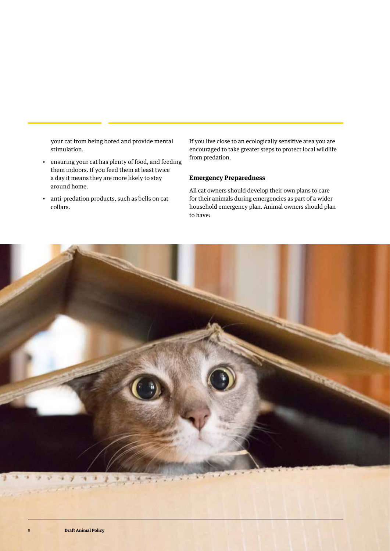your cat from being bored and provide mental stimulation.

- ensuring your cat has plenty of food, and feeding them indoors. If you feed them at least twice a day it means they are more likely to stay around home.
- anti-predation products, such as bells on cat collars.

If you live close to an ecologically sensitive area you are encouraged to take greater steps to protect local wildlife from predation.

#### **Emergency Preparedness**

All cat owners should develop their own plans to care for their animals during emergencies as part of a wider household emergency plan. Animal owners should plan to have:

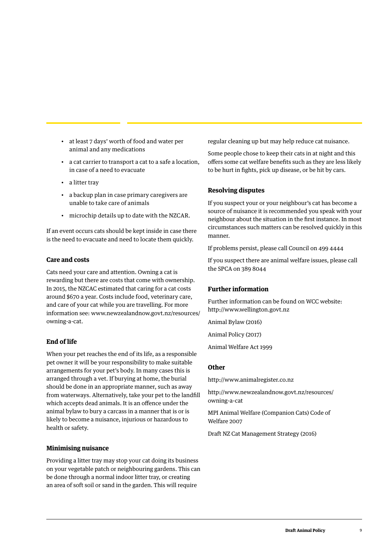- at least 7 days' worth of food and water per animal and any medications
- a cat carrier to transport a cat to a safe a location, in case of a need to evacuate
- a litter tray
- a backup plan in case primary caregivers are unable to take care of animals
- microchip details up to date with the NZCAR.

If an event occurs cats should be kept inside in case there is the need to evacuate and need to locate them quickly.

#### **Care and costs**

Cats need your care and attention. Owning a cat is rewarding but there are costs that come with ownership. In 2015, the NZCAC estimated that caring for a cat costs around \$670 a year. Costs include food, veterinary care, and care of your cat while you are travelling. For more information see: www.newzealandnow.govt.nz/resources/ owning-a-cat.

#### **End of life**

When your pet reaches the end of its life, as a responsible pet owner it will be your responsibility to make suitable arrangements for your pet's body. In many cases this is arranged through a vet. If burying at home, the burial should be done in an appropriate manner, such as away from waterways. Alternatively, take your pet to the landfill which accepts dead animals. It is an offence under the animal bylaw to bury a carcass in a manner that is or is likely to become a nuisance, injurious or hazardous to health or safety.

#### **Minimising nuisance**

Providing a litter tray may stop your cat doing its business on your vegetable patch or neighbouring gardens. This can be done through a normal indoor litter tray, or creating an area of soft soil or sand in the garden. This will require

regular cleaning up but may help reduce cat nuisance.

Some people chose to keep their cats in at night and this offers some cat welfare benefits such as they are less likely to be hurt in fights, pick up disease, or be hit by cars.

#### **Resolving disputes**

If you suspect your or your neighbour's cat has become a source of nuisance it is recommended you speak with your neighbour about the situation in the first instance. In most circumstances such matters can be resolved quickly in this manner.

If problems persist, please call Council on 499 4444

If you suspect there are animal welfare issues, please call the SPCA on 389 8044

#### **Further information**

Further information can be found on WCC website: http://www.wellington.govt.nz

Animal Bylaw (2016)

Animal Policy (2017)

Animal Welfare Act 1999

#### **Other**

http://www.animalregister.co.nz

http://www.newzealandnow.govt.nz/resources/ owning-a-cat

MPI Animal Welfare (Companion Cats) Code of Welfare 2007

Draft NZ Cat Management Strategy (2016)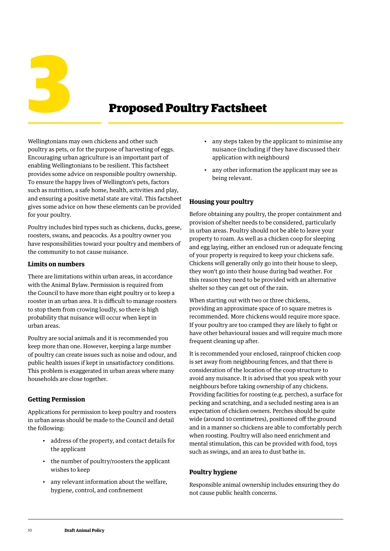**3 Proposed Poultry Factsheet** 

Wellingtonians may own chickens and other such poultry as pets, or for the purpose of harvesting of eggs. Encouraging urban agriculture is an important part of enabling Wellingtonians to be resilient. This factsheet provides some advice on responsible poultry ownership. To ensure the happy lives of Wellington's pets, factors such as nutrition, a safe home, health, activities and play, and ensuring a positive metal state are vital. This factsheet gives some advice on how these elements can be provided for your poultry.

Poultry includes bird types such as chickens, ducks, geese, roosters, swans, and peacocks. As a poultry owner you have responsibilities toward your poultry and members of the community to not cause nuisance.

#### **Limits on numbers**

There are limitations within urban areas, in accordance with the Animal Bylaw. Permission is required from the Council to have more than eight poultry or to keep a rooster in an urban area. It is difficult to manage roosters to stop them from crowing loudly, so there is high probability that nuisance will occur when kept in urban areas.

Poultry are social animals and it is recommended you keep more than one. However, keeping a large number of poultry can create issues such as noise and odour, and public health issues if kept in unsatisfactory conditions. This problem is exaggerated in urban areas where many households are close together.

## **Getting Permission**

Applications for permission to keep poultry and roosters in urban areas should be made to the Council and detail the following:

- address of the property, and contact details for the applicant
- the number of poultry/roosters the applicant wishes to keep
- any relevant information about the welfare, hygiene, control, and confinement
- any steps taken by the applicant to minimise any nuisance (including if they have discussed their application with neighbours)
- any other information the applicant may see as being relevant.

## **Housing your poultry**

Before obtaining any poultry, the proper containment and provision of shelter needs to be considered, particularly in urban areas. Poultry should not be able to leave your property to roam. As well as a chicken coop for sleeping and egg laying, either an enclosed run or adequate fencing of your property is required to keep your chickens safe. Chickens will generally only go into their house to sleep, they won't go into their house during bad weather. For this reason they need to be provided with an alternative shelter so they can get out of the rain.

When starting out with two or three chickens, providing an approximate space of 10 square metres is recommended. More chickens would require more space. If your poultry are too cramped they are likely to fight or have other behavioural issues and will require much more frequent cleaning up after.

It is recommended your enclosed, rainproof chicken coop is set away from neighbouring fences, and that there is consideration of the location of the coop structure to avoid any nuisance. It is advised that you speak with your neighbours before taking ownership of any chickens. Providing facilities for roosting (e.g. perches), a surface for pecking and scratching, and a secluded nesting area is an expectation of chicken owners. Perches should be quite wide (around 10 centimetres), positioned off the ground and in a manner so chickens are able to comfortably perch when roosting. Poultry will also need enrichment and mental stimulation, this can be provided with food, toys such as swings, and an area to dust bathe in.

## **Poultry hygiene**

Responsible animal ownership includes ensuring they do not cause public health concerns.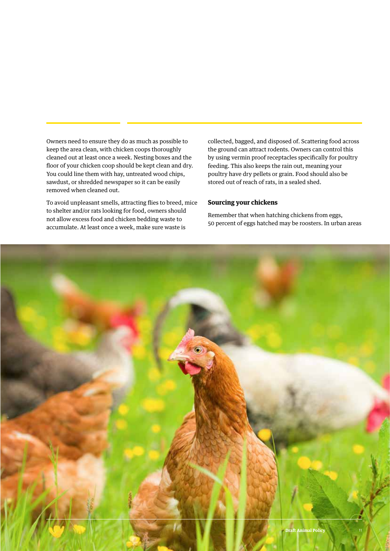Owners need to ensure they do as much as possible to keep the area clean, with chicken coops thoroughly cleaned out at least once a week. Nesting boxes and the floor of your chicken coop should be kept clean and dry. You could line them with hay, untreated wood chips, sawdust, or shredded newspaper so it can be easily removed when cleaned out.

To avoid unpleasant smells, attracting flies to breed, mice to shelter and/or rats looking for food, owners should not allow excess food and chicken bedding waste to accumulate. At least once a week, make sure waste is

collected, bagged, and disposed of. Scattering food across the ground can attract rodents. Owners can control this by using vermin proof receptacles specifically for poultry feeding. This also keeps the rain out, meaning your poultry have dry pellets or grain. Food should also be stored out of reach of rats, in a sealed shed.

#### **Sourcing your chickens**

Remember that when hatching chickens from eggs, 50 percent of eggs hatched may be roosters. In urban areas

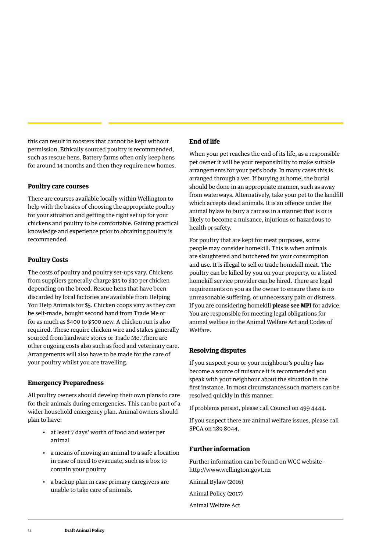this can result in roosters that cannot be kept without permission. Ethically sourced poultry is recommended, such as rescue hens. Battery farms often only keep hens for around 14 months and then they require new homes.

#### **Poultry care courses**

There are courses available locally within Wellington to help with the basics of choosing the appropriate poultry for your situation and getting the right set up for your chickens and poultry to be comfortable. Gaining practical knowledge and experience prior to obtaining poultry is recommended.

#### **Poultry Costs**

The costs of poultry and poultry set-ups vary. Chickens from suppliers generally charge \$15 to \$30 per chicken depending on the breed. Rescue hens that have been discarded by local factories are available from Helping You Help Animals for \$5. Chicken coops vary as they can be self-made, bought second hand from Trade Me or for as much as \$400 to \$500 new. A chicken run is also required. These require chicken wire and stakes generally sourced from hardware stores or Trade Me. There are other ongoing costs also such as food and veterinary care. Arrangements will also have to be made for the care of your poultry whilst you are travelling.

#### **Emergency Preparedness**

All poultry owners should develop their own plans to care for their animals during emergencies. This can be part of a wider household emergency plan. Animal owners should plan to have:

- at least 7 days' worth of food and water per animal
- a means of moving an animal to a safe a location in case of need to evacuate, such as a box to contain your poultry
- a backup plan in case primary caregivers are unable to take care of animals.

## **End of life**

When your pet reaches the end of its life, as a responsible pet owner it will be your responsibility to make suitable arrangements for your pet's body. In many cases this is arranged through a vet. If burying at home, the burial should be done in an appropriate manner, such as away from waterways. Alternatively, take your pet to the landfill which accepts dead animals. It is an offence under the animal bylaw to bury a carcass in a manner that is or is likely to become a nuisance, injurious or hazardous to health or safety.

For poultry that are kept for meat purposes, some people may consider homekill. This is when animals are slaughtered and butchered for your consumption and use. It is illegal to sell or trade homekill meat. The poultry can be killed by you on your property, or a listed homekill service provider can be hired. There are legal requirements on you as the owner to ensure there is no unreasonable suffering, or unnecessary pain or distress. If you are considering homekill **please see MPI** for advice. You are responsible for meeting legal obligations for animal welfare in the Animal Welfare Act and Codes of Welfare.

#### **Resolving disputes**

If you suspect your or your neighbour's poultry has become a source of nuisance it is recommended you speak with your neighbour about the situation in the first instance. In most circumstances such matters can be resolved quickly in this manner.

If problems persist, please call Council on 499 4444.

If you suspect there are animal welfare issues, please call SPCA on 389 8044.

#### **Further information**

Further information can be found on WCC website http://www.wellington.govt.nz

Animal Bylaw (2016) Animal Policy (2017) Animal Welfare Act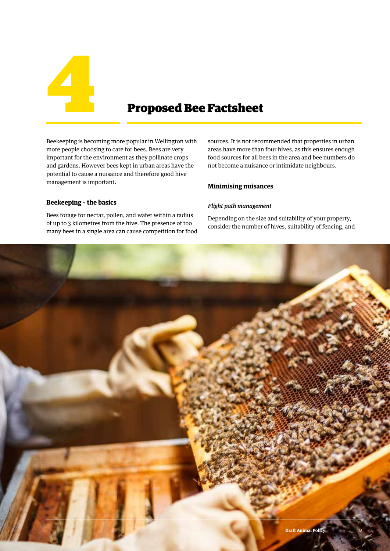

Beekeeping is becoming more popular in Wellington with more people choosing to care for bees. Bees are very important for the environment as they pollinate crops and gardens. However bees kept in urban areas have the potential to cause a nuisance and therefore good hive management is important.

#### **Beekeeping – the basics**

Bees forage for nectar, pollen, and water within a radius of up to 3 kilometres from the hive. The presence of too many bees in a single area can cause competition for food sources. It is not recommended that properties in urban areas have more than four hives, as this ensures enough food sources for all bees in the area and bee numbers do not become a nuisance or intimidate neighbours.

#### **Minimising nuisances**

#### *Flight path management*

Depending on the size and suitability of your property, consider the number of hives, suitability of fencing, and

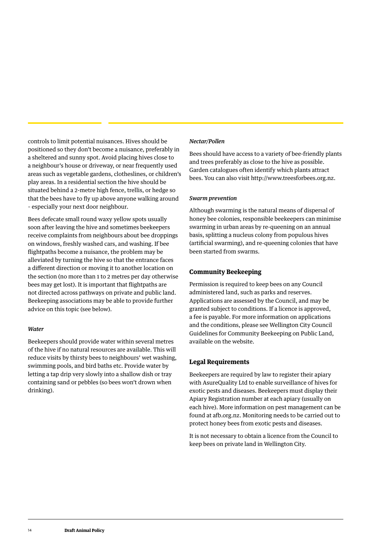controls to limit potential nuisances. Hives should be positioned so they don't become a nuisance, preferably in a sheltered and sunny spot. Avoid placing hives close to a neighbour's house or driveway, or near frequently used areas such as vegetable gardens, clotheslines, or children's play areas. In a residential section the hive should be situated behind a 2-metre high fence, trellis, or hedge so that the bees have to fly up above anyone walking around – especially your next door neighbour.

Bees defecate small round waxy yellow spots usually soon after leaving the hive and sometimes beekeepers receive complaints from neighbours about bee droppings on windows, freshly washed cars, and washing. If bee flightpaths become a nuisance, the problem may be alleviated by turning the hive so that the entrance faces a different direction or moving it to another location on the section (no more than 1 to 2 metres per day otherwise bees may get lost). It is important that flightpaths are not directed across pathways on private and public land. Beekeeping associations may be able to provide further advice on this topic (see below).

#### *Water*

Beekeepers should provide water within several metres of the hive if no natural resources are available. This will reduce visits by thirsty bees to neighbours' wet washing, swimming pools, and bird baths etc. Provide water by letting a tap drip very slowly into a shallow dish or tray containing sand or pebbles (so bees won't drown when drinking).

#### *Nectar/Pollen*

Bees should have access to a variety of bee-friendly plants and trees preferably as close to the hive as possible. Garden catalogues often identify which plants attract bees. You can also visit http://www.treesforbees.org.nz.

#### *Swarm prevention*

Although swarming is the natural means of dispersal of honey bee colonies, responsible beekeepers can minimise swarming in urban areas by re-queening on an annual basis, splitting a nucleus colony from populous hives (artificial swarming), and re-queening colonies that have been started from swarms.

#### **Community Beekeeping**

Permission is required to keep bees on any Council administered land, such as parks and reserves. Applications are assessed by the Council, and may be granted subject to conditions. If a licence is approved, a fee is payable. For more information on applications and the conditions, please see Wellington City Council Guidelines for Community Beekeeping on Public Land, available on the website.

#### **Legal Requirements**

Beekeepers are required by law to register their apiary with AsureQuality Ltd to enable surveillance of hives for exotic pests and diseases. Beekeepers must display their Apiary Registration number at each apiary (usually on each hive). More information on pest management can be found at afb.org.nz. Monitoring needs to be carried out to protect honey bees from exotic pests and diseases.

It is not necessary to obtain a licence from the Council to keep bees on private land in Wellington City.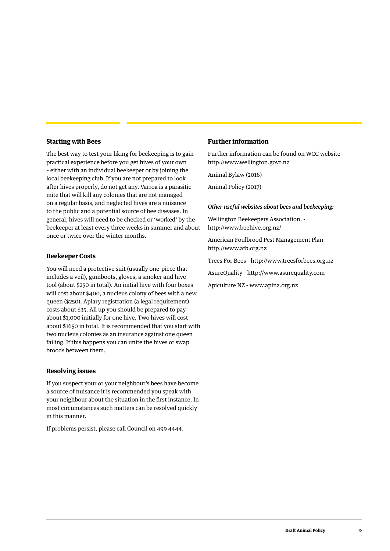#### **Starting with Bees**

The best way to test your liking for beekeeping is to gain practical experience before you get hives of your own – either with an individual beekeeper or by joining the local beekeeping club. If you are not prepared to look after hives properly, do not get any. Varroa is a parasitic mite that will kill any colonies that are not managed on a regular basis, and neglected hives are a nuisance to the public and a potential source of bee diseases. In general, hives will need to be checked or 'worked' by the beekeeper at least every three weeks in summer and about once or twice over the winter months.

#### **Beekeeper Costs**

You will need a protective suit (usually one-piece that includes a veil), gumboots, gloves, a smoker and hive tool (about \$250 in total). An initial hive with four boxes will cost about \$400, a nucleus colony of bees with a new queen (\$250). Apiary registration (a legal requirement) costs about \$35. All up you should be prepared to pay about \$1,000 initially for one hive. Two hives will cost about \$1650 in total. It is recommended that you start with two nucleus colonies as an insurance against one queen failing. If this happens you can unite the hives or swap broods between them.

#### **Resolving issues**

If you suspect your or your neighbour's bees have become a source of nuisance it is recommended you speak with your neighbour about the situation in the first instance. In most circumstances such matters can be resolved quickly in this manner.

If problems persist, please call Council on 499 4444.

#### **Further information**

Further information can be found on WCC website http://www.wellington.govt.nz

Animal Bylaw (2016)

Animal Policy (2017)

#### *Other useful websites about bees and beekeeping:*

Wellington Beekeepers Association. http://www.beehive.org.nz/

American Foulbrood Pest Management Plan – http://www.afb.org.nz

Trees For Bees - http://www.treesforbees.org.nz

AsureQuality - http://www.asurequality.com

Apiculture NZ - www.apinz.org.nz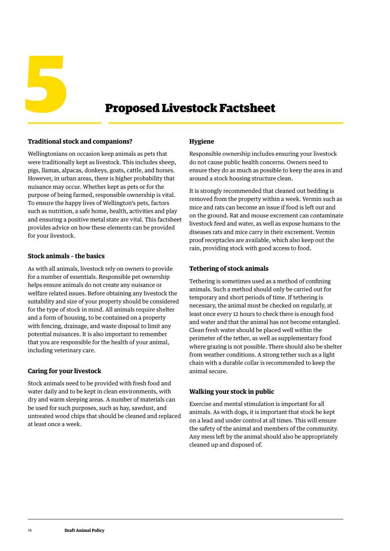

#### **Traditional stock and companions?**

Wellingtonians on occasion keep animals as pets that were traditionally kept as livestock. This includes sheep, pigs, llamas, alpacas, donkeys, goats, cattle, and horses. However, in urban areas, there is higher probability that nuisance may occur. Whether kept as pets or for the purpose of being farmed, responsible ownership is vital. To ensure the happy lives of Wellington's pets, factors such as nutrition, a safe home, health, activities and play and ensuring a positive metal state are vital. This factsheet provides advice on how these elements can be provided for your livestock.

#### **Stock animals – the basics**

As with all animals, livestock rely on owners to provide for a number of essentials. Responsible pet ownership helps ensure animals do not create any nuisance or welfare related issues. Before obtaining any livestock the suitability and size of your property should be considered for the type of stock in mind. All animals require shelter and a form of housing, to be contained on a property with fencing, drainage, and waste disposal to limit any potential nuisances. It is also important to remember that you are responsible for the health of your animal, including veterinary care.

#### **Caring for your livestock**

Stock animals need to be provided with fresh food and water daily and to be kept in clean environments, with dry and warm sleeping areas. A number of materials can be used for such purposes, such as hay, sawdust, and untreated wood chips that should be cleaned and replaced at least once a week.

#### **Hygiene**

Responsible ownership includes ensuring your livestock do not cause public health concerns. Owners need to ensure they do as much as possible to keep the area in and around a stock housing structure clean.

It is strongly recommended that cleaned out bedding is removed from the property within a week. Vermin such as mice and rats can become an issue if food is left out and on the ground. Rat and mouse excrement can contaminate livestock feed and water, as well as expose humans to the diseases rats and mice carry in their excrement. Vermin proof receptacles are available, which also keep out the rain, providing stock with good access to food.

#### **Tethering of stock animals**

Tethering is sometimes used as a method of confining animals. Such a method should only be carried out for temporary and short periods of time. If tethering is necessary, the animal must be checked on regularly, at least once every 12 hours to check there is enough food and water and that the animal has not become entangled. Clean fresh water should be placed well within the perimeter of the tether, as well as supplementary food where grazing is not possible. There should also be shelter from weather conditions. A strong tether such as a light chain with a durable collar is recommended to keep the animal secure.

#### **Walking your stock in public**

Exercise and mental stimulation is important for all animals. As with dogs, it is important that stock be kept on a lead and under control at all times. This will ensure the safety of the animal and members of the community. Any mess left by the animal should also be appropriately cleaned up and disposed of.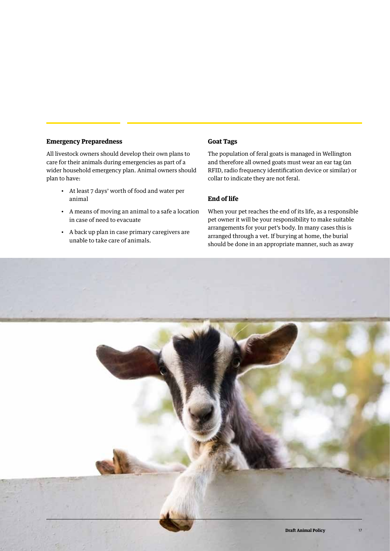#### **Emergency Preparedness**

All livestock owners should develop their own plans to care for their animals during emergencies as part of a wider household emergency plan. Animal owners should plan to have:

- At least 7 days' worth of food and water per animal
- A means of moving an animal to a safe a location in case of need to evacuate
- A back up plan in case primary caregivers are unable to take care of animals.

#### **Goat Tags**

The population of feral goats is managed in Wellington and therefore all owned goats must wear an ear tag (an RFID, radio frequency identification device or similar) or collar to indicate they are not feral.

#### **End of life**

When your pet reaches the end of its life, as a responsible pet owner it will be your responsibility to make suitable arrangements for your pet's body. In many cases this is arranged through a vet. If burying at home, the burial should be done in an appropriate manner, such as away

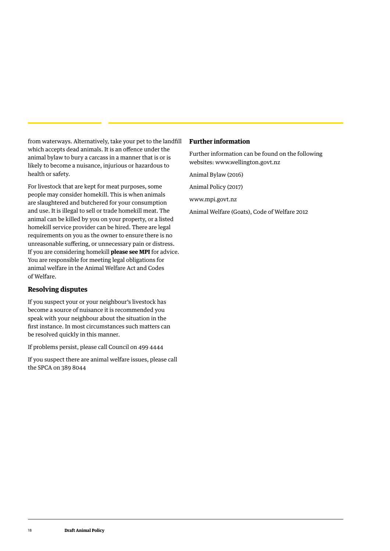from waterways. Alternatively, take your pet to the landfill which accepts dead animals. It is an offence under the animal bylaw to bury a carcass in a manner that is or is likely to become a nuisance, injurious or hazardous to health or safety.

For livestock that are kept for meat purposes, some people may consider homekill. This is when animals are slaughtered and butchered for your consumption and use. It is illegal to sell or trade homekill meat. The animal can be killed by you on your property, or a listed homekill service provider can be hired. There are legal requirements on you as the owner to ensure there is no unreasonable suffering, or unnecessary pain or distress. If you are considering homekill **please see MPI** for advice. You are responsible for meeting legal obligations for animal welfare in the Animal Welfare Act and Codes of Welfare.

#### **Resolving disputes**

If you suspect your or your neighbour's livestock has become a source of nuisance it is recommended you speak with your neighbour about the situation in the first instance. In most circumstances such matters can be resolved quickly in this manner.

If problems persist, please call Council on 499 4444

If you suspect there are animal welfare issues, please call the SPCA on 389 8044

#### **Further information**

Further information can be found on the following websites: www.wellington.govt.nz

Animal Bylaw (2016)

Animal Policy (2017)

www.mpi.govt.nz

Animal Welfare (Goats), Code of Welfare 2012